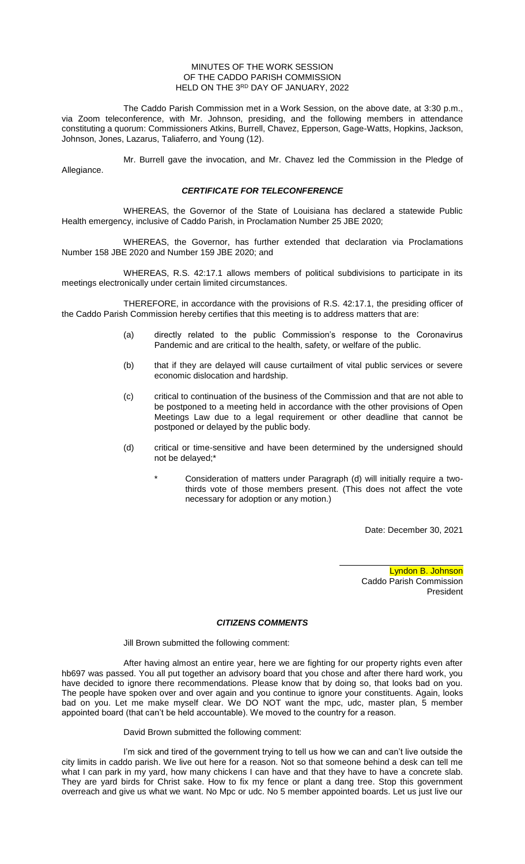#### MINUTES OF THE WORK SESSION OF THE CADDO PARISH COMMISSION HELD ON THE 3RD DAY OF JANUARY, 2022

The Caddo Parish Commission met in a Work Session, on the above date, at 3:30 p.m., via Zoom teleconference, with Mr. Johnson, presiding, and the following members in attendance constituting a quorum: Commissioners Atkins, Burrell, Chavez, Epperson, Gage-Watts, Hopkins, Jackson, Johnson, Jones, Lazarus, Taliaferro, and Young (12).

Mr. Burrell gave the invocation, and Mr. Chavez led the Commission in the Pledge of Allegiance.

## *CERTIFICATE FOR TELECONFERENCE*

WHEREAS, the Governor of the State of Louisiana has declared a statewide Public Health emergency, inclusive of Caddo Parish, in Proclamation Number 25 JBE 2020;

WHEREAS, the Governor, has further extended that declaration via Proclamations Number 158 JBE 2020 and Number 159 JBE 2020; and

WHEREAS, R.S. 42:17.1 allows members of political subdivisions to participate in its meetings electronically under certain limited circumstances.

THEREFORE, in accordance with the provisions of R.S. 42:17.1, the presiding officer of the Caddo Parish Commission hereby certifies that this meeting is to address matters that are:

- (a) directly related to the public Commission's response to the Coronavirus Pandemic and are critical to the health, safety, or welfare of the public.
- (b) that if they are delayed will cause curtailment of vital public services or severe economic dislocation and hardship.
- (c) critical to continuation of the business of the Commission and that are not able to be postponed to a meeting held in accordance with the other provisions of Open Meetings Law due to a legal requirement or other deadline that cannot be postponed or delayed by the public body.
- (d) critical or time-sensitive and have been determined by the undersigned should not be delayed;\*
	- Consideration of matters under Paragraph (d) will initially require a twothirds vote of those members present. (This does not affect the vote necessary for adoption or any motion.)

Date: December 30, 2021

Lyndon B. Johnson Caddo Parish Commission President

## *CITIZENS COMMENTS*

Jill Brown submitted the following comment:

After having almost an entire year, here we are fighting for our property rights even after hb697 was passed. You all put together an advisory board that you chose and after there hard work, you have decided to ignore there recommendations. Please know that by doing so, that looks bad on you. The people have spoken over and over again and you continue to ignore your constituents. Again, looks bad on you. Let me make myself clear. We DO NOT want the mpc, udc, master plan, 5 member appointed board (that can't be held accountable). We moved to the country for a reason.

## David Brown submitted the following comment:

I'm sick and tired of the government trying to tell us how we can and can't live outside the city limits in caddo parish. We live out here for a reason. Not so that someone behind a desk can tell me what I can park in my yard, how many chickens I can have and that they have to have a concrete slab. They are yard birds for Christ sake. How to fix my fence or plant a dang tree. Stop this government overreach and give us what we want. No Mpc or udc. No 5 member appointed boards. Let us just live our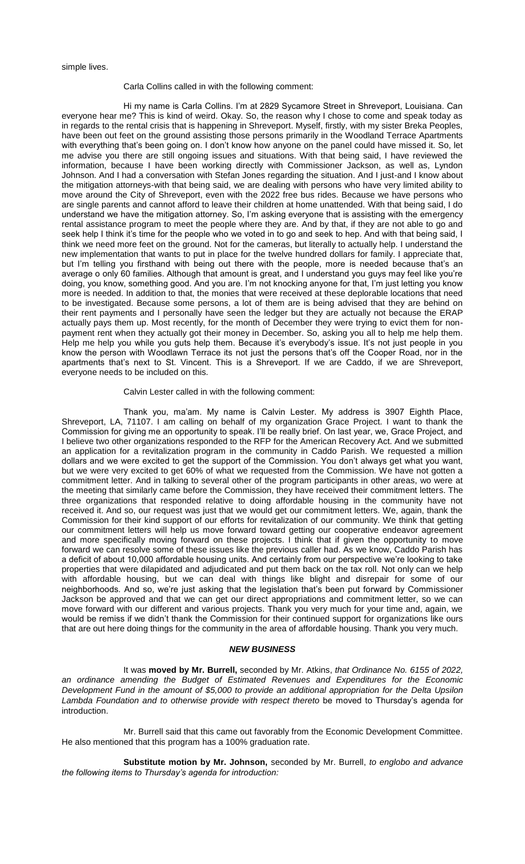simple lives.

#### Carla Collins called in with the following comment:

Hi my name is Carla Collins. I'm at 2829 Sycamore Street in Shreveport, Louisiana. Can everyone hear me? This is kind of weird. Okay. So, the reason why I chose to come and speak today as in regards to the rental crisis that is happening in Shreveport. Myself, firstly, with my sister Breka Peoples, have been out feet on the ground assisting those persons primarily in the Woodland Terrace Apartments with everything that's been going on. I don't know how anyone on the panel could have missed it. So, let me advise you there are still ongoing issues and situations. With that being said, I have reviewed the information, because I have been working directly with Commissioner Jackson, as well as, Lyndon Johnson. And I had a conversation with Stefan Jones regarding the situation. And I just-and I know about the mitigation attorneys-with that being said, we are dealing with persons who have very limited ability to move around the City of Shreveport, even with the 2022 free bus rides. Because we have persons who are single parents and cannot afford to leave their children at home unattended. With that being said, I do understand we have the mitigation attorney. So, I'm asking everyone that is assisting with the emergency rental assistance program to meet the people where they are. And by that, if they are not able to go and seek help I think it's time for the people who we voted in to go and seek to hep. And with that being said, I think we need more feet on the ground. Not for the cameras, but literally to actually help. I understand the new implementation that wants to put in place for the twelve hundred dollars for family. I appreciate that, but I'm telling you firsthand with being out there with the people, more is needed because that's an average o only 60 families. Although that amount is great, and I understand you guys may feel like you're doing, you know, something good. And you are. I'm not knocking anyone for that, I'm just letting you know more is needed. In addition to that, the monies that were received at these deplorable locations that need to be investigated. Because some persons, a lot of them are is being advised that they are behind on their rent payments and I personally have seen the ledger but they are actually not because the ERAP actually pays them up. Most recently, for the month of December they were trying to evict them for nonpayment rent when they actually got their money in December. So, asking you all to help me help them. Help me help you while you guts help them. Because it's everybody's issue. It's not just people in you know the person with Woodlawn Terrace its not just the persons that's off the Cooper Road, nor in the apartments that's next to St. Vincent. This is a Shreveport. If we are Caddo, if we are Shreveport, everyone needs to be included on this.

#### Calvin Lester called in with the following comment:

Thank you, ma'am. My name is Calvin Lester. My address is 3907 Eighth Place, Shreveport, LA, 71107. I am calling on behalf of my organization Grace Project. I want to thank the Commission for giving me an opportunity to speak. I'll be really brief. On last year, we, Grace Project, and I believe two other organizations responded to the RFP for the American Recovery Act. And we submitted an application for a revitalization program in the community in Caddo Parish. We requested a million dollars and we were excited to get the support of the Commission. You don't always get what you want, but we were very excited to get 60% of what we requested from the Commission. We have not gotten a commitment letter. And in talking to several other of the program participants in other areas, wo were at the meeting that similarly came before the Commission, they have received their commitment letters. The three organizations that responded relative to doing affordable housing in the community have not received it. And so, our request was just that we would get our commitment letters. We, again, thank the Commission for their kind support of our efforts for revitalization of our community. We think that getting our commitment letters will help us move forward toward getting our cooperative endeavor agreement and more specifically moving forward on these projects. I think that if given the opportunity to move forward we can resolve some of these issues like the previous caller had. As we know, Caddo Parish has a deficit of about 10,000 affordable housing units. And certainly from our perspective we're looking to take properties that were dilapidated and adjudicated and put them back on the tax roll. Not only can we help with affordable housing, but we can deal with things like blight and disrepair for some of our neighborhoods. And so, we're just asking that the legislation that's been put forward by Commissioner Jackson be approved and that we can get our direct appropriations and commitment letter, so we can move forward with our different and various projects. Thank you very much for your time and, again, we would be remiss if we didn't thank the Commission for their continued support for organizations like ours that are out here doing things for the community in the area of affordable housing. Thank you very much.

## *NEW BUSINESS*

It was **moved by Mr. Burrell,** seconded by Mr. Atkins, *that Ordinance No. 6155 of 2022, an ordinance amending the Budget of Estimated Revenues and Expenditures for the Economic Development Fund in the amount of \$5,000 to provide an additional appropriation for the Delta Upsilon Lambda Foundation and to otherwise provide with respect thereto* be moved to Thursday's agenda for introduction.

Mr. Burrell said that this came out favorably from the Economic Development Committee. He also mentioned that this program has a 100% graduation rate.

**Substitute motion by Mr. Johnson,** seconded by Mr. Burrell, *to englobo and advance the following items to Thursday's agenda for introduction:*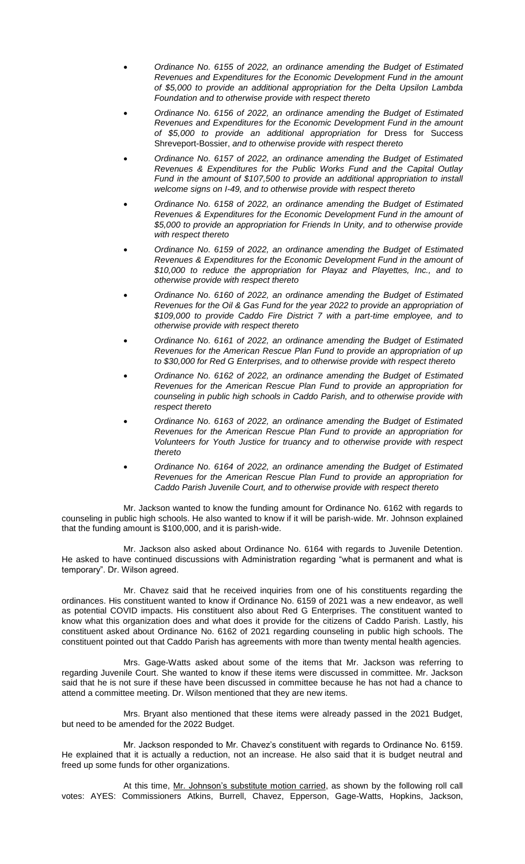- *Ordinance No. 6155 of 2022, an ordinance amending the Budget of Estimated Revenues and Expenditures for the Economic Development Fund in the amount of \$5,000 to provide an additional appropriation for the Delta Upsilon Lambda Foundation and to otherwise provide with respect thereto*
- *Ordinance No. 6156 of 2022, an ordinance amending the Budget of Estimated Revenues and Expenditures for the Economic Development Fund in the amount of \$5,000 to provide an additional appropriation for* Dress for Success Shreveport-Bossier, *and to otherwise provide with respect thereto*
- *Ordinance No. 6157 of 2022, an ordinance amending the Budget of Estimated Revenues & Expenditures for the Public Works Fund and the Capital Outlay Fund in the amount of \$107,500 to provide an additional appropriation to install welcome signs on I-49, and to otherwise provide with respect thereto*
- *Ordinance No. 6158 of 2022, an ordinance amending the Budget of Estimated Revenues & Expenditures for the Economic Development Fund in the amount of \$5,000 to provide an appropriation for Friends In Unity, and to otherwise provide with respect thereto*
- *Ordinance No. 6159 of 2022, an ordinance amending the Budget of Estimated Revenues & Expenditures for the Economic Development Fund in the amount of \$10,000 to reduce the appropriation for Playaz and Playettes, Inc., and to otherwise provide with respect thereto*
- *Ordinance No. 6160 of 2022, an ordinance amending the Budget of Estimated Revenues for the Oil & Gas Fund for the year 2022 to provide an appropriation of \$109,000 to provide Caddo Fire District 7 with a part-time employee, and to otherwise provide with respect thereto*
- *Ordinance No. 6161 of 2022, an ordinance amending the Budget of Estimated Revenues for the American Rescue Plan Fund to provide an appropriation of up to \$30,000 for Red G Enterprises, and to otherwise provide with respect thereto*
- *Ordinance No. 6162 of 2022, an ordinance amending the Budget of Estimated Revenues for the American Rescue Plan Fund to provide an appropriation for counseling in public high schools in Caddo Parish, and to otherwise provide with respect thereto*
- *Ordinance No. 6163 of 2022, an ordinance amending the Budget of Estimated Revenues for the American Rescue Plan Fund to provide an appropriation for Volunteers for Youth Justice for truancy and to otherwise provide with respect thereto*
- *Ordinance No. 6164 of 2022, an ordinance amending the Budget of Estimated Revenues for the American Rescue Plan Fund to provide an appropriation for Caddo Parish Juvenile Court, and to otherwise provide with respect thereto*

Mr. Jackson wanted to know the funding amount for Ordinance No. 6162 with regards to counseling in public high schools. He also wanted to know if it will be parish-wide. Mr. Johnson explained that the funding amount is \$100,000, and it is parish-wide.

Mr. Jackson also asked about Ordinance No. 6164 with regards to Juvenile Detention. He asked to have continued discussions with Administration regarding "what is permanent and what is temporary". Dr. Wilson agreed.

Mr. Chavez said that he received inquiries from one of his constituents regarding the ordinances. His constituent wanted to know if Ordinance No. 6159 of 2021 was a new endeavor, as well as potential COVID impacts. His constituent also about Red G Enterprises. The constituent wanted to know what this organization does and what does it provide for the citizens of Caddo Parish. Lastly, his constituent asked about Ordinance No. 6162 of 2021 regarding counseling in public high schools. The constituent pointed out that Caddo Parish has agreements with more than twenty mental health agencies.

Mrs. Gage-Watts asked about some of the items that Mr. Jackson was referring to regarding Juvenile Court. She wanted to know if these items were discussed in committee. Mr. Jackson said that he is not sure if these have been discussed in committee because he has not had a chance to attend a committee meeting. Dr. Wilson mentioned that they are new items.

Mrs. Bryant also mentioned that these items were already passed in the 2021 Budget, but need to be amended for the 2022 Budget.

Mr. Jackson responded to Mr. Chavez's constituent with regards to Ordinance No. 6159. He explained that it is actually a reduction, not an increase. He also said that it is budget neutral and freed up some funds for other organizations.

At this time, Mr. Johnson's substitute motion carried, as shown by the following roll call votes: AYES: Commissioners Atkins, Burrell, Chavez, Epperson, Gage-Watts, Hopkins, Jackson,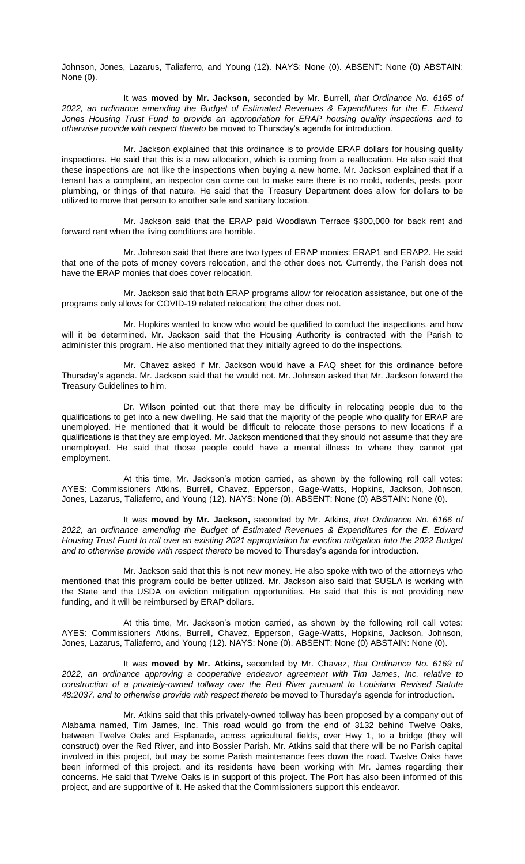Johnson, Jones, Lazarus, Taliaferro, and Young (12). NAYS: None (0). ABSENT: None (0) ABSTAIN: None (0).

It was **moved by Mr. Jackson,** seconded by Mr. Burrell, *that Ordinance No. 6165 of 2022, an ordinance amending the Budget of Estimated Revenues & Expenditures for the E. Edward Jones Housing Trust Fund to provide an appropriation for ERAP housing quality inspections and to otherwise provide with respect thereto* be moved to Thursday's agenda for introduction.

Mr. Jackson explained that this ordinance is to provide ERAP dollars for housing quality inspections. He said that this is a new allocation, which is coming from a reallocation. He also said that these inspections are not like the inspections when buying a new home. Mr. Jackson explained that if a tenant has a complaint, an inspector can come out to make sure there is no mold, rodents, pests, poor plumbing, or things of that nature. He said that the Treasury Department does allow for dollars to be utilized to move that person to another safe and sanitary location.

Mr. Jackson said that the ERAP paid Woodlawn Terrace \$300,000 for back rent and forward rent when the living conditions are horrible.

Mr. Johnson said that there are two types of ERAP monies: ERAP1 and ERAP2. He said that one of the pots of money covers relocation, and the other does not. Currently, the Parish does not have the ERAP monies that does cover relocation.

Mr. Jackson said that both ERAP programs allow for relocation assistance, but one of the programs only allows for COVID-19 related relocation; the other does not.

Mr. Hopkins wanted to know who would be qualified to conduct the inspections, and how will it be determined. Mr. Jackson said that the Housing Authority is contracted with the Parish to administer this program. He also mentioned that they initially agreed to do the inspections.

Mr. Chavez asked if Mr. Jackson would have a FAQ sheet for this ordinance before Thursday's agenda. Mr. Jackson said that he would not. Mr. Johnson asked that Mr. Jackson forward the Treasury Guidelines to him.

Dr. Wilson pointed out that there may be difficulty in relocating people due to the qualifications to get into a new dwelling. He said that the majority of the people who qualify for ERAP are unemployed. He mentioned that it would be difficult to relocate those persons to new locations if a qualifications is that they are employed. Mr. Jackson mentioned that they should not assume that they are unemployed. He said that those people could have a mental illness to where they cannot get employment.

At this time, Mr. Jackson's motion carried, as shown by the following roll call votes: AYES: Commissioners Atkins, Burrell, Chavez, Epperson, Gage-Watts, Hopkins, Jackson, Johnson, Jones, Lazarus, Taliaferro, and Young (12). NAYS: None (0). ABSENT: None (0) ABSTAIN: None (0).

It was **moved by Mr. Jackson,** seconded by Mr. Atkins, *that Ordinance No. 6166 of 2022, an ordinance amending the Budget of Estimated Revenues & Expenditures for the E. Edward Housing Trust Fund to roll over an existing 2021 appropriation for eviction mitigation into the 2022 Budget and to otherwise provide with respect thereto* be moved to Thursday's agenda for introduction.

Mr. Jackson said that this is not new money. He also spoke with two of the attorneys who mentioned that this program could be better utilized. Mr. Jackson also said that SUSLA is working with the State and the USDA on eviction mitigation opportunities. He said that this is not providing new funding, and it will be reimbursed by ERAP dollars.

At this time, Mr. Jackson's motion carried, as shown by the following roll call votes: AYES: Commissioners Atkins, Burrell, Chavez, Epperson, Gage-Watts, Hopkins, Jackson, Johnson, Jones, Lazarus, Taliaferro, and Young (12). NAYS: None (0). ABSENT: None (0) ABSTAIN: None (0).

It was **moved by Mr. Atkins,** seconded by Mr. Chavez, *that Ordinance No. 6169 of 2022, an ordinance approving a cooperative endeavor agreement with Tim James, Inc. relative to construction of a privately-owned tollway over the Red River pursuant to Louisiana Revised Statute 48:2037, and to otherwise provide with respect thereto* be moved to Thursday's agenda for introduction.

Mr. Atkins said that this privately-owned tollway has been proposed by a company out of Alabama named, Tim James, Inc. This road would go from the end of 3132 behind Twelve Oaks, between Twelve Oaks and Esplanade, across agricultural fields, over Hwy 1, to a bridge (they will construct) over the Red River, and into Bossier Parish. Mr. Atkins said that there will be no Parish capital involved in this project, but may be some Parish maintenance fees down the road. Twelve Oaks have been informed of this project, and its residents have been working with Mr. James regarding their concerns. He said that Twelve Oaks is in support of this project. The Port has also been informed of this project, and are supportive of it. He asked that the Commissioners support this endeavor.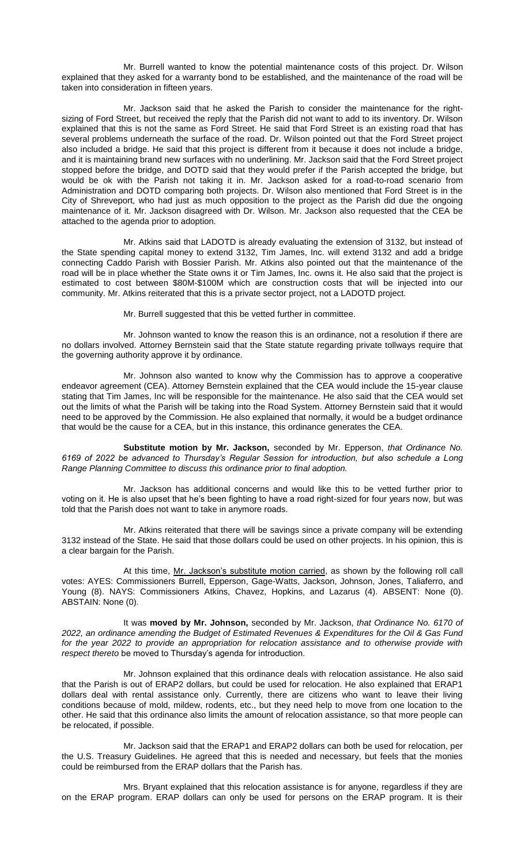Mr. Burrell wanted to know the potential maintenance costs of this project. Dr. Wilson explained that they asked for a warranty bond to be established, and the maintenance of the road will be taken into consideration in fifteen years.

Mr. Jackson said that he asked the Parish to consider the maintenance for the rightsizing of Ford Street, but received the reply that the Parish did not want to add to its inventory. Dr. Wilson explained that this is not the same as Ford Street. He said that Ford Street is an existing road that has several problems underneath the surface of the road. Dr. Wilson pointed out that the Ford Street project also included a bridge. He said that this project is different from it because it does not include a bridge, and it is maintaining brand new surfaces with no underlining. Mr. Jackson said that the Ford Street project stopped before the bridge, and DOTD said that they would prefer if the Parish accepted the bridge, but would be ok with the Parish not taking it in. Mr. Jackson asked for a road-to-road scenario from Administration and DOTD comparing both projects. Dr. Wilson also mentioned that Ford Street is in the City of Shreveport, who had just as much opposition to the project as the Parish did due the ongoing maintenance of it. Mr. Jackson disagreed with Dr. Wilson. Mr. Jackson also requested that the CEA be attached to the agenda prior to adoption.

Mr. Atkins said that LADOTD is already evaluating the extension of 3132, but instead of the State spending capital money to extend 3132, Tim James, Inc. will extend 3132 and add a bridge connecting Caddo Parish with Bossier Parish. Mr. Atkins also pointed out that the maintenance of the road will be in place whether the State owns it or Tim James, Inc. owns it. He also said that the project is estimated to cost between \$80M-\$100M which are construction costs that will be injected into our community. Mr. Atkins reiterated that this is a private sector project, not a LADOTD project.

Mr. Burrell suggested that this be vetted further in committee.

Mr. Johnson wanted to know the reason this is an ordinance, not a resolution if there are no dollars involved. Attorney Bernstein said that the State statute regarding private tollways require that the governing authority approve it by ordinance.

Mr. Johnson also wanted to know why the Commission has to approve a cooperative endeavor agreement (CEA). Attorney Bernstein explained that the CEA would include the 15-year clause stating that Tim James, Inc will be responsible for the maintenance. He also said that the CEA would set out the limits of what the Parish will be taking into the Road System. Attorney Bernstein said that it would need to be approved by the Commission. He also explained that normally, it would be a budget ordinance that would be the cause for a CEA, but in this instance, this ordinance generates the CEA.

**Substitute motion by Mr. Jackson,** seconded by Mr. Epperson, *that Ordinance No. 6169 of 2022 be advanced to Thursday's Regular Session for introduction, but also schedule a Long Range Planning Committee to discuss this ordinance prior to final adoption.* 

Mr. Jackson has additional concerns and would like this to be vetted further prior to voting on it. He is also upset that he's been fighting to have a road right-sized for four years now, but was told that the Parish does not want to take in anymore roads.

Mr. Atkins reiterated that there will be savings since a private company will be extending 3132 instead of the State. He said that those dollars could be used on other projects. In his opinion, this is a clear bargain for the Parish.

At this time, Mr. Jackson's substitute motion carried, as shown by the following roll call votes: AYES: Commissioners Burrell, Epperson, Gage-Watts, Jackson, Johnson, Jones, Taliaferro, and Young (8). NAYS: Commissioners Atkins, Chavez, Hopkins, and Lazarus (4). ABSENT: None (0). ABSTAIN: None (0).

It was **moved by Mr. Johnson,** seconded by Mr. Jackson, *that Ordinance No. 6170 of 2022, an ordinance amending the Budget of Estimated Revenues & Expenditures for the Oil & Gas Fund for the year 2022 to provide an appropriation for relocation assistance and to otherwise provide with respect thereto* be moved to Thursday's agenda for introduction.

Mr. Johnson explained that this ordinance deals with relocation assistance. He also said that the Parish is out of ERAP2 dollars, but could be used for relocation. He also explained that ERAP1 dollars deal with rental assistance only. Currently, there are citizens who want to leave their living conditions because of mold, mildew, rodents, etc., but they need help to move from one location to the other. He said that this ordinance also limits the amount of relocation assistance, so that more people can be relocated, if possible.

Mr. Jackson said that the ERAP1 and ERAP2 dollars can both be used for relocation, per the U.S. Treasury Guidelines. He agreed that this is needed and necessary, but feels that the monies could be reimbursed from the ERAP dollars that the Parish has.

Mrs. Bryant explained that this relocation assistance is for anyone, regardless if they are on the ERAP program. ERAP dollars can only be used for persons on the ERAP program. It is their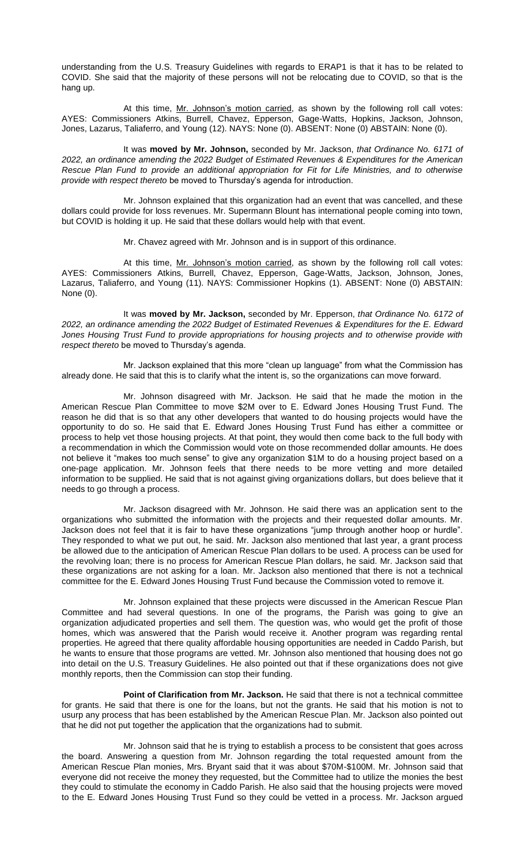understanding from the U.S. Treasury Guidelines with regards to ERAP1 is that it has to be related to COVID. She said that the majority of these persons will not be relocating due to COVID, so that is the hang up.

At this time, Mr. Johnson's motion carried, as shown by the following roll call votes: AYES: Commissioners Atkins, Burrell, Chavez, Epperson, Gage-Watts, Hopkins, Jackson, Johnson, Jones, Lazarus, Taliaferro, and Young (12). NAYS: None (0). ABSENT: None (0) ABSTAIN: None (0).

It was **moved by Mr. Johnson,** seconded by Mr. Jackson, *that Ordinance No. 6171 of 2022, an ordinance amending the 2022 Budget of Estimated Revenues & Expenditures for the American Rescue Plan Fund to provide an additional appropriation for Fit for Life Ministries, and to otherwise provide with respect thereto* be moved to Thursday's agenda for introduction.

Mr. Johnson explained that this organization had an event that was cancelled, and these dollars could provide for loss revenues. Mr. Supermann Blount has international people coming into town, but COVID is holding it up. He said that these dollars would help with that event.

Mr. Chavez agreed with Mr. Johnson and is in support of this ordinance.

At this time, Mr. Johnson's motion carried, as shown by the following roll call votes: AYES: Commissioners Atkins, Burrell, Chavez, Epperson, Gage-Watts, Jackson, Johnson, Jones, Lazarus, Taliaferro, and Young (11). NAYS: Commissioner Hopkins (1). ABSENT: None (0) ABSTAIN: None (0).

It was **moved by Mr. Jackson,** seconded by Mr. Epperson, *that Ordinance No. 6172 of 2022, an ordinance amending the 2022 Budget of Estimated Revenues & Expenditures for the E. Edward Jones Housing Trust Fund to provide appropriations for housing projects and to otherwise provide with respect thereto* be moved to Thursday's agenda.

Mr. Jackson explained that this more "clean up language" from what the Commission has already done. He said that this is to clarify what the intent is, so the organizations can move forward.

Mr. Johnson disagreed with Mr. Jackson. He said that he made the motion in the American Rescue Plan Committee to move \$2M over to E. Edward Jones Housing Trust Fund. The reason he did that is so that any other developers that wanted to do housing projects would have the opportunity to do so. He said that E. Edward Jones Housing Trust Fund has either a committee or process to help vet those housing projects. At that point, they would then come back to the full body with a recommendation in which the Commission would vote on those recommended dollar amounts. He does not believe it "makes too much sense" to give any organization \$1M to do a housing project based on a one-page application. Mr. Johnson feels that there needs to be more vetting and more detailed information to be supplied. He said that is not against giving organizations dollars, but does believe that it needs to go through a process.

Mr. Jackson disagreed with Mr. Johnson. He said there was an application sent to the organizations who submitted the information with the projects and their requested dollar amounts. Mr. Jackson does not feel that it is fair to have these organizations "jump through another hoop or hurdle". They responded to what we put out, he said. Mr. Jackson also mentioned that last year, a grant process be allowed due to the anticipation of American Rescue Plan dollars to be used. A process can be used for the revolving loan; there is no process for American Rescue Plan dollars, he said. Mr. Jackson said that these organizations are not asking for a loan. Mr. Jackson also mentioned that there is not a technical committee for the E. Edward Jones Housing Trust Fund because the Commission voted to remove it.

Mr. Johnson explained that these projects were discussed in the American Rescue Plan Committee and had several questions. In one of the programs, the Parish was going to give an organization adjudicated properties and sell them. The question was, who would get the profit of those homes, which was answered that the Parish would receive it. Another program was regarding rental properties. He agreed that there quality affordable housing opportunities are needed in Caddo Parish, but he wants to ensure that those programs are vetted. Mr. Johnson also mentioned that housing does not go into detail on the U.S. Treasury Guidelines. He also pointed out that if these organizations does not give monthly reports, then the Commission can stop their funding.

**Point of Clarification from Mr. Jackson.** He said that there is not a technical committee for grants. He said that there is one for the loans, but not the grants. He said that his motion is not to usurp any process that has been established by the American Rescue Plan. Mr. Jackson also pointed out that he did not put together the application that the organizations had to submit.

Mr. Johnson said that he is trying to establish a process to be consistent that goes across the board. Answering a question from Mr. Johnson regarding the total requested amount from the American Rescue Plan monies, Mrs. Bryant said that it was about \$70M-\$100M. Mr. Johnson said that everyone did not receive the money they requested, but the Committee had to utilize the monies the best they could to stimulate the economy in Caddo Parish. He also said that the housing projects were moved to the E. Edward Jones Housing Trust Fund so they could be vetted in a process. Mr. Jackson argued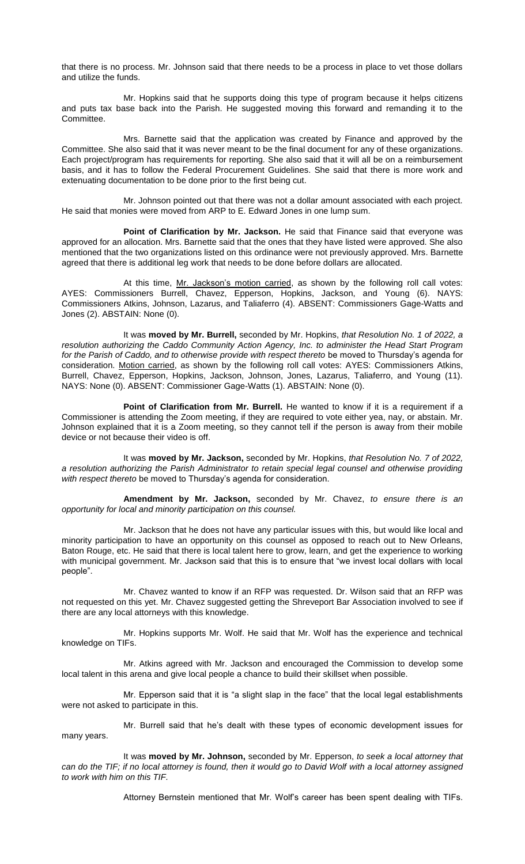that there is no process. Mr. Johnson said that there needs to be a process in place to vet those dollars and utilize the funds.

Mr. Hopkins said that he supports doing this type of program because it helps citizens and puts tax base back into the Parish. He suggested moving this forward and remanding it to the Committee.

Mrs. Barnette said that the application was created by Finance and approved by the Committee. She also said that it was never meant to be the final document for any of these organizations. Each project/program has requirements for reporting. She also said that it will all be on a reimbursement basis, and it has to follow the Federal Procurement Guidelines. She said that there is more work and extenuating documentation to be done prior to the first being cut.

Mr. Johnson pointed out that there was not a dollar amount associated with each project. He said that monies were moved from ARP to E. Edward Jones in one lump sum.

Point of Clarification by Mr. Jackson. He said that Finance said that everyone was approved for an allocation. Mrs. Barnette said that the ones that they have listed were approved. She also mentioned that the two organizations listed on this ordinance were not previously approved. Mrs. Barnette agreed that there is additional leg work that needs to be done before dollars are allocated.

At this time, Mr. Jackson's motion carried, as shown by the following roll call votes: AYES: Commissioners Burrell, Chavez, Epperson, Hopkins, Jackson, and Young (6). NAYS: Commissioners Atkins, Johnson, Lazarus, and Taliaferro (4). ABSENT: Commissioners Gage-Watts and Jones (2). ABSTAIN: None (0).

It was **moved by Mr. Burrell,** seconded by Mr. Hopkins, *that Resolution No. 1 of 2022, a resolution authorizing the Caddo Community Action Agency, Inc. to administer the Head Start Program*  for the Parish of Caddo, and to otherwise provide with respect thereto be moved to Thursday's agenda for consideration. Motion carried, as shown by the following roll call votes: AYES: Commissioners Atkins, Burrell, Chavez, Epperson, Hopkins, Jackson, Johnson, Jones, Lazarus, Taliaferro, and Young (11). NAYS: None (0). ABSENT: Commissioner Gage-Watts (1). ABSTAIN: None (0).

**Point of Clarification from Mr. Burrell.** He wanted to know if it is a requirement if a Commissioner is attending the Zoom meeting, if they are required to vote either yea, nay, or abstain. Mr. Johnson explained that it is a Zoom meeting, so they cannot tell if the person is away from their mobile device or not because their video is off.

It was **moved by Mr. Jackson,** seconded by Mr. Hopkins, *that Resolution No. 7 of 2022, a resolution authorizing the Parish Administrator to retain special legal counsel and otherwise providing with respect thereto* be moved to Thursday's agenda for consideration.

**Amendment by Mr. Jackson,** seconded by Mr. Chavez, *to ensure there is an opportunity for local and minority participation on this counsel.* 

Mr. Jackson that he does not have any particular issues with this, but would like local and minority participation to have an opportunity on this counsel as opposed to reach out to New Orleans, Baton Rouge, etc. He said that there is local talent here to grow, learn, and get the experience to working with municipal government. Mr. Jackson said that this is to ensure that "we invest local dollars with local people".

Mr. Chavez wanted to know if an RFP was requested. Dr. Wilson said that an RFP was not requested on this yet. Mr. Chavez suggested getting the Shreveport Bar Association involved to see if there are any local attorneys with this knowledge.

Mr. Hopkins supports Mr. Wolf. He said that Mr. Wolf has the experience and technical knowledge on TIFs.

Mr. Atkins agreed with Mr. Jackson and encouraged the Commission to develop some local talent in this arena and give local people a chance to build their skillset when possible.

Mr. Epperson said that it is "a slight slap in the face" that the local legal establishments were not asked to participate in this.

Mr. Burrell said that he's dealt with these types of economic development issues for many years.

It was **moved by Mr. Johnson,** seconded by Mr. Epperson, *to seek a local attorney that*  can do the TIF; if no local attorney is found, then it would go to David Wolf with a local attorney assigned *to work with him on this TIF.* 

Attorney Bernstein mentioned that Mr. Wolf's career has been spent dealing with TIFs.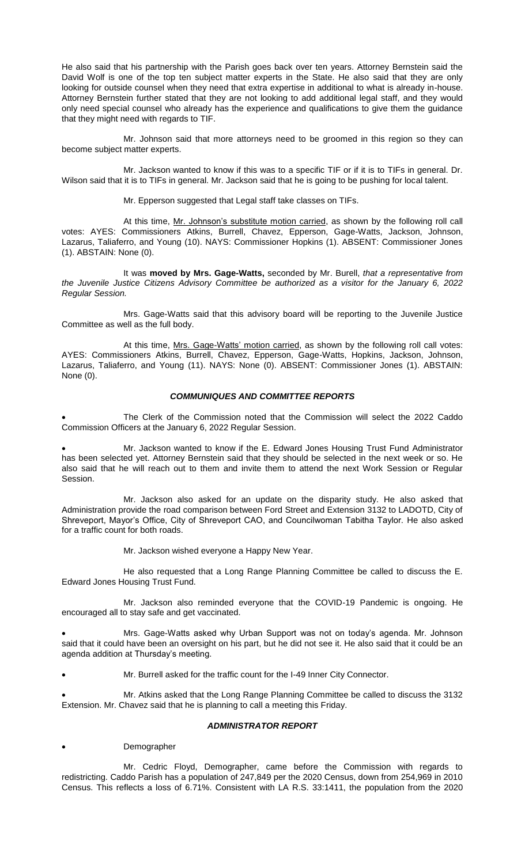He also said that his partnership with the Parish goes back over ten years. Attorney Bernstein said the David Wolf is one of the top ten subject matter experts in the State. He also said that they are only looking for outside counsel when they need that extra expertise in additional to what is already in-house. Attorney Bernstein further stated that they are not looking to add additional legal staff, and they would only need special counsel who already has the experience and qualifications to give them the guidance that they might need with regards to TIF.

Mr. Johnson said that more attorneys need to be groomed in this region so they can become subject matter experts.

Mr. Jackson wanted to know if this was to a specific TIF or if it is to TIFs in general. Dr. Wilson said that it is to TIFs in general. Mr. Jackson said that he is going to be pushing for local talent.

Mr. Epperson suggested that Legal staff take classes on TIFs.

At this time, Mr. Johnson's substitute motion carried, as shown by the following roll call votes: AYES: Commissioners Atkins, Burrell, Chavez, Epperson, Gage-Watts, Jackson, Johnson, Lazarus, Taliaferro, and Young (10). NAYS: Commissioner Hopkins (1). ABSENT: Commissioner Jones (1). ABSTAIN: None (0).

It was **moved by Mrs. Gage-Watts,** seconded by Mr. Burell, *that a representative from the Juvenile Justice Citizens Advisory Committee be authorized as a visitor for the January 6, 2022 Regular Session.* 

Mrs. Gage-Watts said that this advisory board will be reporting to the Juvenile Justice Committee as well as the full body.

At this time, Mrs. Gage-Watts' motion carried, as shown by the following roll call votes: AYES: Commissioners Atkins, Burrell, Chavez, Epperson, Gage-Watts, Hopkins, Jackson, Johnson, Lazarus, Taliaferro, and Young (11). NAYS: None (0). ABSENT: Commissioner Jones (1). ABSTAIN: None (0).

## *COMMUNIQUES AND COMMITTEE REPORTS*

The Clerk of the Commission noted that the Commission will select the 2022 Caddo Commission Officers at the January 6, 2022 Regular Session.

• Mr. Jackson wanted to know if the E. Edward Jones Housing Trust Fund Administrator has been selected yet. Attorney Bernstein said that they should be selected in the next week or so. He also said that he will reach out to them and invite them to attend the next Work Session or Regular Session.

Mr. Jackson also asked for an update on the disparity study. He also asked that Administration provide the road comparison between Ford Street and Extension 3132 to LADOTD, City of Shreveport, Mayor's Office, City of Shreveport CAO, and Councilwoman Tabitha Taylor. He also asked for a traffic count for both roads.

Mr. Jackson wished everyone a Happy New Year.

He also requested that a Long Range Planning Committee be called to discuss the E. Edward Jones Housing Trust Fund.

Mr. Jackson also reminded everyone that the COVID-19 Pandemic is ongoing. He encouraged all to stay safe and get vaccinated.

• Mrs. Gage-Watts asked why Urban Support was not on today's agenda. Mr. Johnson said that it could have been an oversight on his part, but he did not see it. He also said that it could be an agenda addition at Thursday's meeting.

• Mr. Burrell asked for the traffic count for the I-49 Inner City Connector.

• Mr. Atkins asked that the Long Range Planning Committee be called to discuss the 3132 Extension. Mr. Chavez said that he is planning to call a meeting this Friday.

# *ADMINISTRATOR REPORT*

# **Demographer**

Mr. Cedric Floyd, Demographer, came before the Commission with regards to redistricting. Caddo Parish has a population of 247,849 per the 2020 Census, down from 254,969 in 2010 Census. This reflects a loss of 6.71%. Consistent with LA R.S. 33:1411, the population from the 2020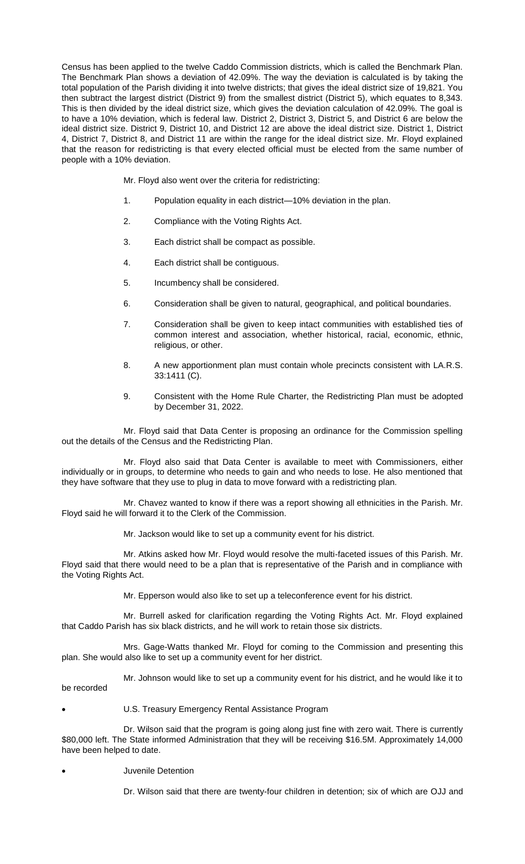Census has been applied to the twelve Caddo Commission districts, which is called the Benchmark Plan. The Benchmark Plan shows a deviation of 42.09%. The way the deviation is calculated is by taking the total population of the Parish dividing it into twelve districts; that gives the ideal district size of 19,821. You then subtract the largest district (District 9) from the smallest district (District 5), which equates to 8,343. This is then divided by the ideal district size, which gives the deviation calculation of 42.09%. The goal is to have a 10% deviation, which is federal law. District 2, District 3, District 5, and District 6 are below the ideal district size. District 9, District 10, and District 12 are above the ideal district size. District 1, District 4, District 7, District 8, and District 11 are within the range for the ideal district size. Mr. Floyd explained that the reason for redistricting is that every elected official must be elected from the same number of people with a 10% deviation.

Mr. Floyd also went over the criteria for redistricting:

- 1. Population equality in each district—10% deviation in the plan.
- 2. Compliance with the Voting Rights Act.
- 3. Each district shall be compact as possible.
- 4. Each district shall be contiguous.
- 5. Incumbency shall be considered.
- 6. Consideration shall be given to natural, geographical, and political boundaries.
- 7. Consideration shall be given to keep intact communities with established ties of common interest and association, whether historical, racial, economic, ethnic, religious, or other.
- 8. A new apportionment plan must contain whole precincts consistent with LA.R.S. 33:1411 (C).
- 9. Consistent with the Home Rule Charter, the Redistricting Plan must be adopted by December 31, 2022.

Mr. Floyd said that Data Center is proposing an ordinance for the Commission spelling out the details of the Census and the Redistricting Plan.

Mr. Floyd also said that Data Center is available to meet with Commissioners, either individually or in groups, to determine who needs to gain and who needs to lose. He also mentioned that they have software that they use to plug in data to move forward with a redistricting plan.

Mr. Chavez wanted to know if there was a report showing all ethnicities in the Parish. Mr. Floyd said he will forward it to the Clerk of the Commission.

Mr. Jackson would like to set up a community event for his district.

Mr. Atkins asked how Mr. Floyd would resolve the multi-faceted issues of this Parish. Mr. Floyd said that there would need to be a plan that is representative of the Parish and in compliance with the Voting Rights Act.

Mr. Epperson would also like to set up a teleconference event for his district.

Mr. Burrell asked for clarification regarding the Voting Rights Act. Mr. Floyd explained that Caddo Parish has six black districts, and he will work to retain those six districts.

Mrs. Gage-Watts thanked Mr. Floyd for coming to the Commission and presenting this plan. She would also like to set up a community event for her district.

Mr. Johnson would like to set up a community event for his district, and he would like it to be recorded

- 
- U.S. Treasury Emergency Rental Assistance Program

Dr. Wilson said that the program is going along just fine with zero wait. There is currently \$80,000 left. The State informed Administration that they will be receiving \$16.5M. Approximately 14,000 have been helped to date.

• Juvenile Detention

Dr. Wilson said that there are twenty-four children in detention; six of which are OJJ and